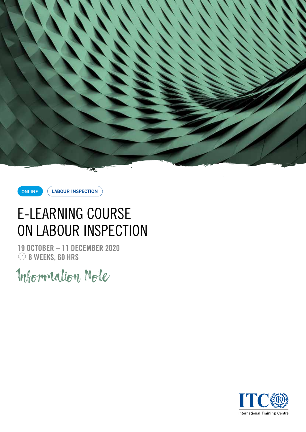



**LABOUR INSPECTION**

# E-LEARNING COURSE ON LABOUR INSPECTION

**19 OCTOBER – 11 DECEMBER 2020**  $\circledcirc$  8 WEEKS, 60 HRS

Information Note

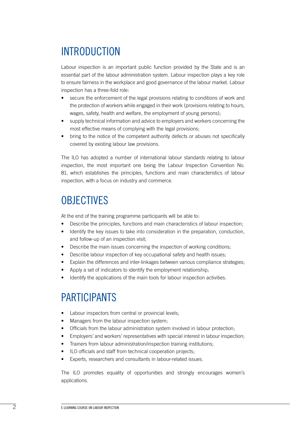# INTRODUCTION

Labour inspection is an important public function provided by the State and is an essential part of the labour administration system. Labour inspection plays a key role to ensure fairness in the workplace and good governance of the labour market. Labour inspection has a three-fold role:

- secure the enforcement of the legal provisions relating to conditions of work and the protection of workers while engaged in their work (provisions relating to hours, wages, safety, health and welfare, the employment of young persons);
- supply technical information and advice to employers and workers concerning the most effective means of complying with the legal provisions;
- bring to the notice of the competent authority defects or abuses not specifically covered by existing labour law provisions.

The ILO has adopted a number of international labour standards relating to labour inspection, the most important one being the Labour Inspection Convention No. 81, which establishes the principles, functions and main characteristics of labour inspection, with a focus on industry and commerce.

#### **OBJECTIVES**

At the end of the training programme participants will be able to:

- Describe the principles, functions and main characteristics of labour inspection:
- Identify the key issues to take into consideration in the preparation, conduction, and follow-up of an inspection visit;
- Describe the main issues concerning the inspection of working conditions;
- Describe labour inspection of key occupational safety and health issues;
- Explain the differences and inter-linkages between various compliance strategies;
- Apply a set of indicators to identify the employment relationship;
- Identify the applications of the main tools for labour inspection activities.

#### PARTICIPANTS

- Labour inspectors from central or provincial levels;
- Managers from the labour inspection system;
- Officials from the labour administration system involved in labour protection;
- Employers' and workers' representatives with special interest in labour inspection;
- Trainers from labour administration/inspection training institutions;
- ILO officials and staff from technical cooperation projects;
- Experts, researchers and consultants in labour-related issues.

The ILO promotes equality of opportunities and strongly encourages women's applications.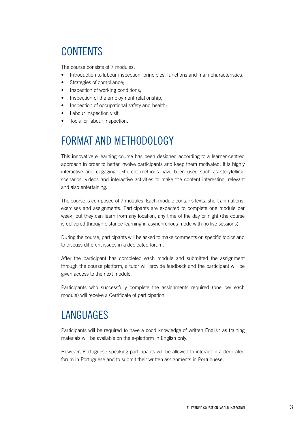# **CONTENTS**

The course consists of 7 modules:

- Introduction to labour inspection: principles, functions and main characteristics;
- Strategies of compliance;
- Inspection of working conditions;
- Inspection of the employment relationship;
- Inspection of occupational safety and health;
- Labour inspection visit;
- Tools for labour inspection.

# FORMAT AND METHODOLOGY

This innovative e-learning course has been designed according to a learner-centred approach in order to better involve participants and keep them motivated. It is highly interactive and engaging. Different methods have been used such as storytelling, scenarios, videos and interactive activities to make the content interesting, relevant and also entertaining.

The course is composed of 7 modules. Each module contains texts, short animations, exercises and assignments. Participants are expected to complete one module per week, but they can learn from any location, any time of the day or night (the course is delivered through distance learning in asynchronous mode with no live sessions).

During the course, participants will be asked to make comments on specific topics and to discuss different issues in a dedicated forum.

After the participant has completed each module and submitted the assignment through the course platform, a tutor will provide feedback and the participant will be given access to the next module.

Participants who successfully complete the assignments required (one per each module) will receive a Certificate of participation.

### LANGUAGES

Participants will be required to have a good knowledge of written English as training materials will be available on the e-platform in English only.

However, Portuguese-speaking participants will be allowed to interact in a dedicated forum in Portuguese and to submit their written assignments in Portuguese.